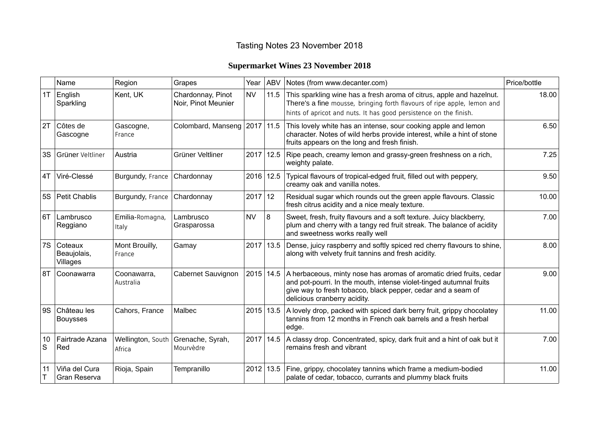## Tasting Notes 23 November 2018

## **Supermarket Wines 23 November 2018**

|         | Name                               | Region                      | Grapes                                   | Year      | <b>ABV</b>  | Notes (from www.decanter.com)                                                                                                                                                                                                              | Price/bottle |
|---------|------------------------------------|-----------------------------|------------------------------------------|-----------|-------------|--------------------------------------------------------------------------------------------------------------------------------------------------------------------------------------------------------------------------------------------|--------------|
| 1T      | English<br>Sparkling               | Kent, UK                    | Chardonnay, Pinot<br>Noir, Pinot Meunier | <b>NV</b> | 11.5        | This sparkling wine has a fresh aroma of citrus, apple and hazelnut.<br>There's a fine mousse, bringing forth flavours of ripe apple, lemon and<br>hints of apricot and nuts. It has good persistence on the finish.                       | 18.00        |
| 2T      | Côtes de<br>Gascogne               | Gascogne,<br>France         | Colombard, Manseng   2017                |           | 11.5        | This lovely white has an intense, sour cooking apple and lemon<br>character. Notes of wild herbs provide interest, while a hint of stone<br>fruits appears on the long and fresh finish.                                                   | 6.50         |
| 3S      | Grüner Veltliner                   | Austria                     | Grüner Veltliner                         | 2017      | 12.5        | Ripe peach, creamy lemon and grassy-green freshness on a rich,<br>weighty palate.                                                                                                                                                          | 7.25         |
| 4T      | Viré-Clessé                        | Burgundy, France            | Chardonnay                               |           | 2016 12.5   | Typical flavours of tropical-edged fruit, filled out with peppery,<br>creamy oak and vanilla notes.                                                                                                                                        | 9.50         |
|         | 5S Petit Chablis                   | Burgundy, France            | Chardonnay                               | 2017      | 12          | Residual sugar which rounds out the green apple flavours. Classic<br>fresh citrus acidity and a nice mealy texture.                                                                                                                        | 10.00        |
| 6T      | Lambrusco<br>Reggiano              | Emilia-Romagna,<br>Italy    | Lambrusco<br>Grasparossa                 | <b>NV</b> | 8           | Sweet, fresh, fruity flavours and a soft texture. Juicy blackberry,<br>plum and cherry with a tangy red fruit streak. The balance of acidity<br>and sweetness works really well                                                            | 7.00         |
| 7S      | Coteaux<br>Beaujolais,<br>Villages | Mont Brouilly,<br>France    | Gamay                                    | 2017      | 13.5        | Dense, juicy raspberry and softly spiced red cherry flavours to shine,<br>along with velvety fruit tannins and fresh acidity.                                                                                                              | 8.00         |
| 8T      | Coonawarra                         | Coonawarra,<br>Australia    | Cabernet Sauvignon                       | 2015      | 14.5        | A herbaceous, minty nose has aromas of aromatic dried fruits, cedar<br>and pot-pourri. In the mouth, intense violet-tinged autumnal fruits<br>give way to fresh tobacco, black pepper, cedar and a seam of<br>delicious cranberry acidity. | 9.00         |
| 9S      | Château les<br><b>Bouysses</b>     | Cahors, France              | Malbec                                   |           | $2015$ 13.5 | A lovely drop, packed with spiced dark berry fruit, grippy chocolatey<br>tannins from 12 months in French oak barrels and a fresh herbal<br>edge.                                                                                          | 11.00        |
| 10<br>S | Fairtrade Azana<br>Red             | Wellington, South<br>Africa | Grenache, Syrah,<br>Mourvèdre            | 2017      | 14.5        | A classy drop. Concentrated, spicy, dark fruit and a hint of oak but it<br>remains fresh and vibrant                                                                                                                                       | 7.00         |
| 11      | Viña del Cura<br>Gran Reserva      | Rioja, Spain                | Tempranillo                              |           | $2012$ 13.5 | Fine, grippy, chocolatey tannins which frame a medium-bodied<br>palate of cedar, tobacco, currants and plummy black fruits                                                                                                                 | 11.00        |